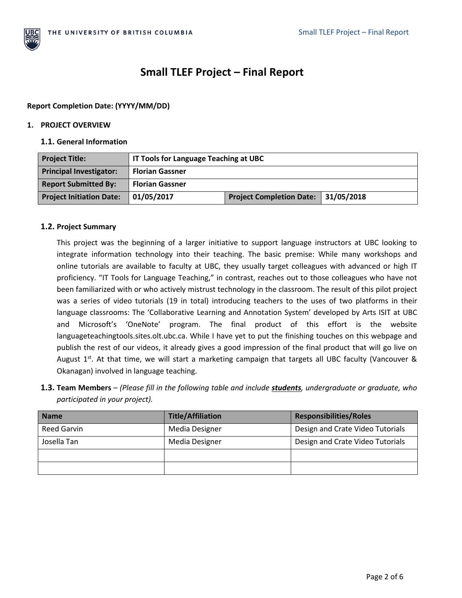

# **Small TLEF Project – Final Report**

# **Report Completion Date: (YYYY/MM/DD)**

## **1. PROJECT OVERVIEW**

## **1.1. General Information**

| <b>Project Title:</b>           | IT Tools for Language Teaching at UBC |                                     |  |
|---------------------------------|---------------------------------------|-------------------------------------|--|
| <b>Principal Investigator:</b>  | <b>Florian Gassner</b>                |                                     |  |
| <b>Report Submitted By:</b>     | <b>Florian Gassner</b>                |                                     |  |
| <b>Project Initiation Date:</b> | 01/05/2017                            | Project Completion Date: 31/05/2018 |  |

# **1.2. Project Summary**

This project was the beginning of a larger initiative to support language instructors at UBC looking to integrate information technology into their teaching. The basic premise: While many workshops and online tutorials are available to faculty at UBC, they usually target colleagues with advanced or high IT proficiency. "IT Tools for Language Teaching," in contrast, reaches out to those colleagues who have not been familiarized with or who actively mistrust technology in the classroom. The result of this pilot project was a series of video tutorials (19 in total) introducing teachers to the uses of two platforms in their language classrooms: The 'Collaborative Learning and Annotation System' developed by Arts ISIT at UBC and Microsoft's 'OneNote' program. The final product of this effort is the website languageteachingtools.sites.olt.ubc.ca. While I have yet to put the finishing touches on this webpage and publish the rest of our videos, it already gives a good impression of the final product that will go live on August  $1^{st}$ . At that time, we will start a marketing campaign that targets all UBC faculty (Vancouver & Okanagan) involved in language teaching.

**1.3. Team Members** – *(Please fill in the following table and include students, undergraduate or graduate, who participated in your project).*

| <b>Name</b> | <b>Title/Affiliation</b> | <b>Responsibilities/Roles</b>    |
|-------------|--------------------------|----------------------------------|
| Reed Garvin | Media Designer           | Design and Crate Video Tutorials |
| Josella Tan | Media Designer           | Design and Crate Video Tutorials |
|             |                          |                                  |
|             |                          |                                  |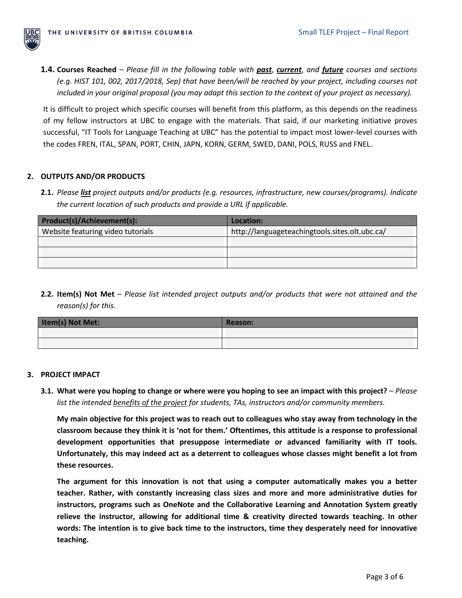

**1.4. Courses Reached** – *Please fill in the following table with past*, *current*, *and future courses and sections (e.g. HIST 101, 002, 2017/2018, Sep) that have been/will be reached by your project, including courses not included in your original proposal (you may adapt this section to the context of your project as necessary).*

It is difficult to project which specific courses will benefit from this platform, as this depends on the readiness of my fellow instructors at UBC to engage with the materials. That said, if our marketing initiative proves successful, "IT Tools for Language Teaching at UBC" has the potential to impact most lower-level courses with the codes FREN, ITAL, SPAN, PORT, CHIN, JAPN, KORN, GERM, SWED, DANI, POLS, RUSS and FNEL.

## **2. OUTPUTS AND/OR PRODUCTS**

**2.1.** *Please list project outputs and/or products (e.g. resources, infrastructure, new courses/programs). Indicate the current location of such products and provide a URL if applicable.*

| Product(s)/Achievement(s):        | Location:                                      |
|-----------------------------------|------------------------------------------------|
| Website featuring video tutorials | http://languageteachingtools.sites.olt.ubc.ca/ |
|                                   |                                                |
|                                   |                                                |
|                                   |                                                |

**2.2. Item(s) Not Met** – *Please list intended project outputs and/or products that were not attained and the reason(s) for this.* 

| Item(s) Not Met: | Reason: |
|------------------|---------|
|                  |         |
|                  |         |

### **3. PROJECT IMPACT**

**3.1. What were you hoping to change or where were you hoping to see an impact with this project?** – *Please list the intended benefits of the project for students, TAs, instructors and/or community members.* 

**My main objective for this project was to reach out to colleagues who stay away from technology in the classroom because they think it is 'not for them.' Oftentimes, this attitude is a response to professional development opportunities that presuppose intermediate or advanced familiarity with IT tools. Unfortunately, this may indeed act as a deterrent to colleagues whose classes might benefit a lot from these resources.** 

**The argument for this innovation is not that using a computer automatically makes you a better teacher. Rather, with constantly increasing class sizes and more and more administrative duties for instructors, programs such as OneNote and the Collaborative Learning and Annotation System greatly relieve the instructor, allowing for additional time & creativity directed towards teaching. In other words: The intention is to give back time to the instructors, time they desperately need for innovative teaching.**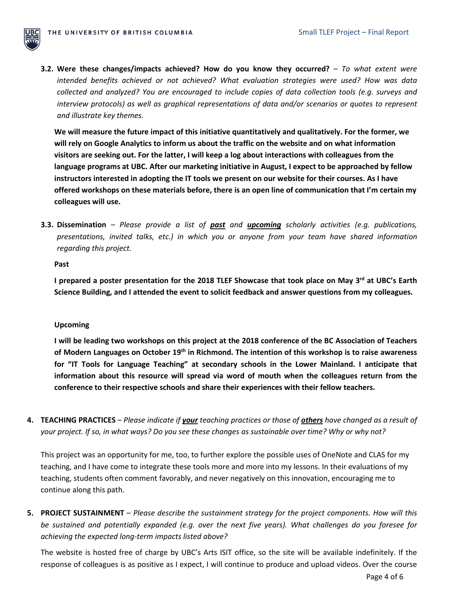

**3.2. Were these changes/impacts achieved? How do you know they occurred?** – *To what extent were intended benefits achieved or not achieved? What evaluation strategies were used? How was data collected and analyzed? You are encouraged to include copies of data collection tools (e.g. surveys and interview protocols) as well as graphical representations of data and/or scenarios or quotes to represent and illustrate key themes.*

**We will measure the future impact of this initiative quantitatively and qualitatively. For the former, we will rely on Google Analytics to inform us about the traffic on the website and on what information visitors are seeking out. For the latter, I will keep a log about interactions with colleagues from the language programs at UBC. After our marketing initiative in August, I expect to be approached by fellow instructors interested in adopting the IT tools we present on our website for their courses. As I have offered workshops on these materials before, there is an open line of communication that I'm certain my colleagues will use.**

**3.3. Dissemination** – *Please provide a list of past and upcoming scholarly activities (e.g. publications, presentations, invited talks, etc.) in which you or anyone from your team have shared information regarding this project.* 

### **Past**

**I prepared a poster presentation for the 2018 TLEF Showcase that took place on May 3<sup>rd</sup> at UBC's Earth Science Building, and I attended the event to solicit feedback and answer questions from my colleagues.**

### **Upcoming**

**I will be leading two workshops on this project at the 2018 conference of the BC Association of Teachers of Modern Languages on October 19th in Richmond. The intention of this workshop is to raise awareness for "IT Tools for Language Teaching" at secondary schools in the Lower Mainland. I anticipate that information about this resource will spread via word of mouth when the colleagues return from the conference to their respective schools and share their experiences with their fellow teachers.** 

**4. TEACHING PRACTICES** – *Please indicate if your teaching practices or those of others have changed as a result of your project. If so, in what ways? Do you see these changes as sustainable over time? Why or why not?*

This project was an opportunity for me, too, to further explore the possible uses of OneNote and CLAS for my teaching, and I have come to integrate these tools more and more into my lessons. In their evaluations of my teaching, students often comment favorably, and never negatively on this innovation, encouraging me to continue along this path.

**5. PROJECT SUSTAINMENT** – *Please describe the sustainment strategy for the project components. How will this be sustained and potentially expanded (e.g. over the next five years). What challenges do you foresee for achieving the expected long-term impacts listed above?*

The website is hosted free of charge by UBC's Arts ISIT office, so the site will be available indefinitely. If the response of colleagues is as positive as I expect, I will continue to produce and upload videos. Over the course